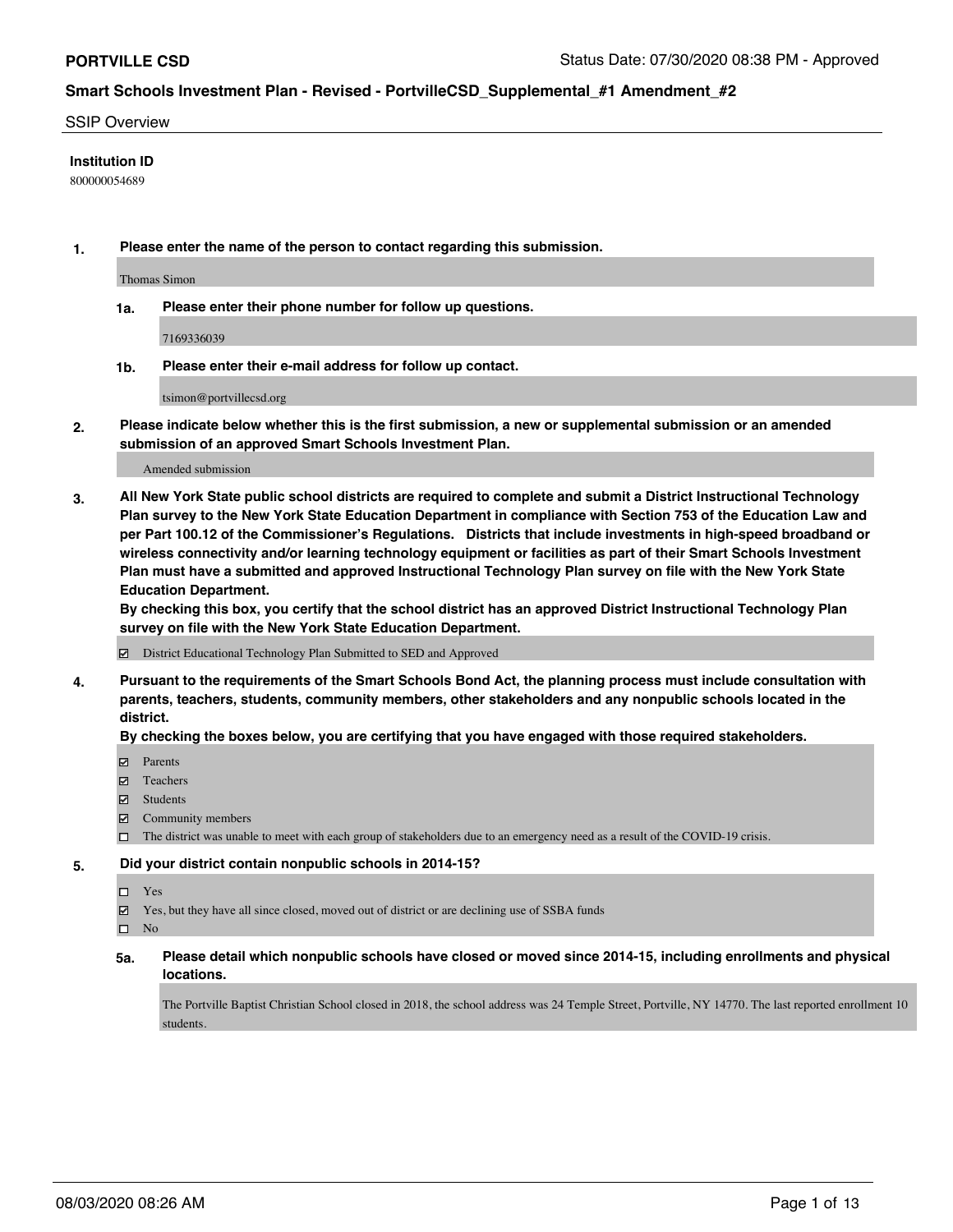### SSIP Overview

### **Institution ID**

800000054689

**1. Please enter the name of the person to contact regarding this submission.**

Thomas Simon

**1a. Please enter their phone number for follow up questions.**

7169336039

**1b. Please enter their e-mail address for follow up contact.**

tsimon@portvillecsd.org

**2. Please indicate below whether this is the first submission, a new or supplemental submission or an amended submission of an approved Smart Schools Investment Plan.**

#### Amended submission

**3. All New York State public school districts are required to complete and submit a District Instructional Technology Plan survey to the New York State Education Department in compliance with Section 753 of the Education Law and per Part 100.12 of the Commissioner's Regulations. Districts that include investments in high-speed broadband or wireless connectivity and/or learning technology equipment or facilities as part of their Smart Schools Investment Plan must have a submitted and approved Instructional Technology Plan survey on file with the New York State Education Department.** 

**By checking this box, you certify that the school district has an approved District Instructional Technology Plan survey on file with the New York State Education Department.**

District Educational Technology Plan Submitted to SED and Approved

**4. Pursuant to the requirements of the Smart Schools Bond Act, the planning process must include consultation with parents, teachers, students, community members, other stakeholders and any nonpublic schools located in the district.** 

### **By checking the boxes below, you are certifying that you have engaged with those required stakeholders.**

- **Parents**
- Teachers
- Students
- $\boxtimes$  Community members
- The district was unable to meet with each group of stakeholders due to an emergency need as a result of the COVID-19 crisis.

### **5. Did your district contain nonpublic schools in 2014-15?**

- Yes
- Yes, but they have all since closed, moved out of district or are declining use of SSBA funds

 $\square$  No

**5a. Please detail which nonpublic schools have closed or moved since 2014-15, including enrollments and physical locations.**

The Portville Baptist Christian School closed in 2018, the school address was 24 Temple Street, Portville, NY 14770. The last reported enrollment 10 students.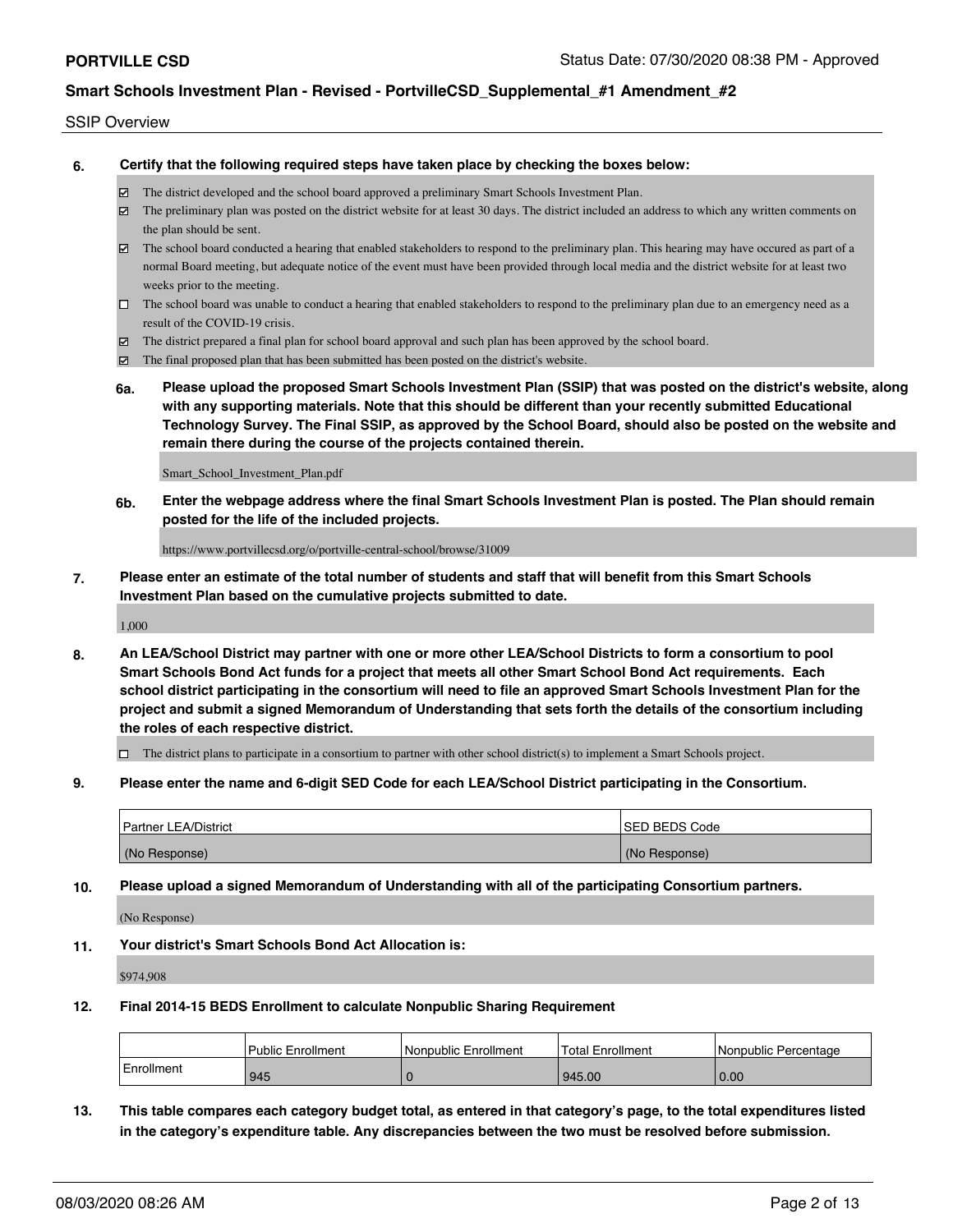### SSIP Overview

**6. Certify that the following required steps have taken place by checking the boxes below:**

- The district developed and the school board approved a preliminary Smart Schools Investment Plan.
- The preliminary plan was posted on the district website for at least 30 days. The district included an address to which any written comments on the plan should be sent.
- The school board conducted a hearing that enabled stakeholders to respond to the preliminary plan. This hearing may have occured as part of a normal Board meeting, but adequate notice of the event must have been provided through local media and the district website for at least two weeks prior to the meeting.
- $\Box$  The school board was unable to conduct a hearing that enabled stakeholders to respond to the preliminary plan due to an emergency need as a result of the COVID-19 crisis.
- The district prepared a final plan for school board approval and such plan has been approved by the school board.
- $\boxtimes$  The final proposed plan that has been submitted has been posted on the district's website.
- **6a. Please upload the proposed Smart Schools Investment Plan (SSIP) that was posted on the district's website, along with any supporting materials. Note that this should be different than your recently submitted Educational Technology Survey. The Final SSIP, as approved by the School Board, should also be posted on the website and remain there during the course of the projects contained therein.**

Smart\_School\_Investment\_Plan.pdf

**6b. Enter the webpage address where the final Smart Schools Investment Plan is posted. The Plan should remain posted for the life of the included projects.**

https://www.portvillecsd.org/o/portville-central-school/browse/31009

**7. Please enter an estimate of the total number of students and staff that will benefit from this Smart Schools Investment Plan based on the cumulative projects submitted to date.**

1,000

**8. An LEA/School District may partner with one or more other LEA/School Districts to form a consortium to pool Smart Schools Bond Act funds for a project that meets all other Smart School Bond Act requirements. Each school district participating in the consortium will need to file an approved Smart Schools Investment Plan for the project and submit a signed Memorandum of Understanding that sets forth the details of the consortium including the roles of each respective district.**

 $\Box$  The district plans to participate in a consortium to partner with other school district(s) to implement a Smart Schools project.

**9. Please enter the name and 6-digit SED Code for each LEA/School District participating in the Consortium.**

| Partner LEA/District | <b>ISED BEDS Code</b> |
|----------------------|-----------------------|
| (No Response)        | (No Response)         |

**10. Please upload a signed Memorandum of Understanding with all of the participating Consortium partners.**

(No Response)

**11. Your district's Smart Schools Bond Act Allocation is:**

\$974,908

### **12. Final 2014-15 BEDS Enrollment to calculate Nonpublic Sharing Requirement**

|            | <b>Public Enrollment</b> | l Nonpublic Enrollment | <b>Total Enrollment</b> | l Nonpublic Percentage |
|------------|--------------------------|------------------------|-------------------------|------------------------|
| Enrollment | 945                      |                        | 945.00                  | 0.00                   |

**13. This table compares each category budget total, as entered in that category's page, to the total expenditures listed in the category's expenditure table. Any discrepancies between the two must be resolved before submission.**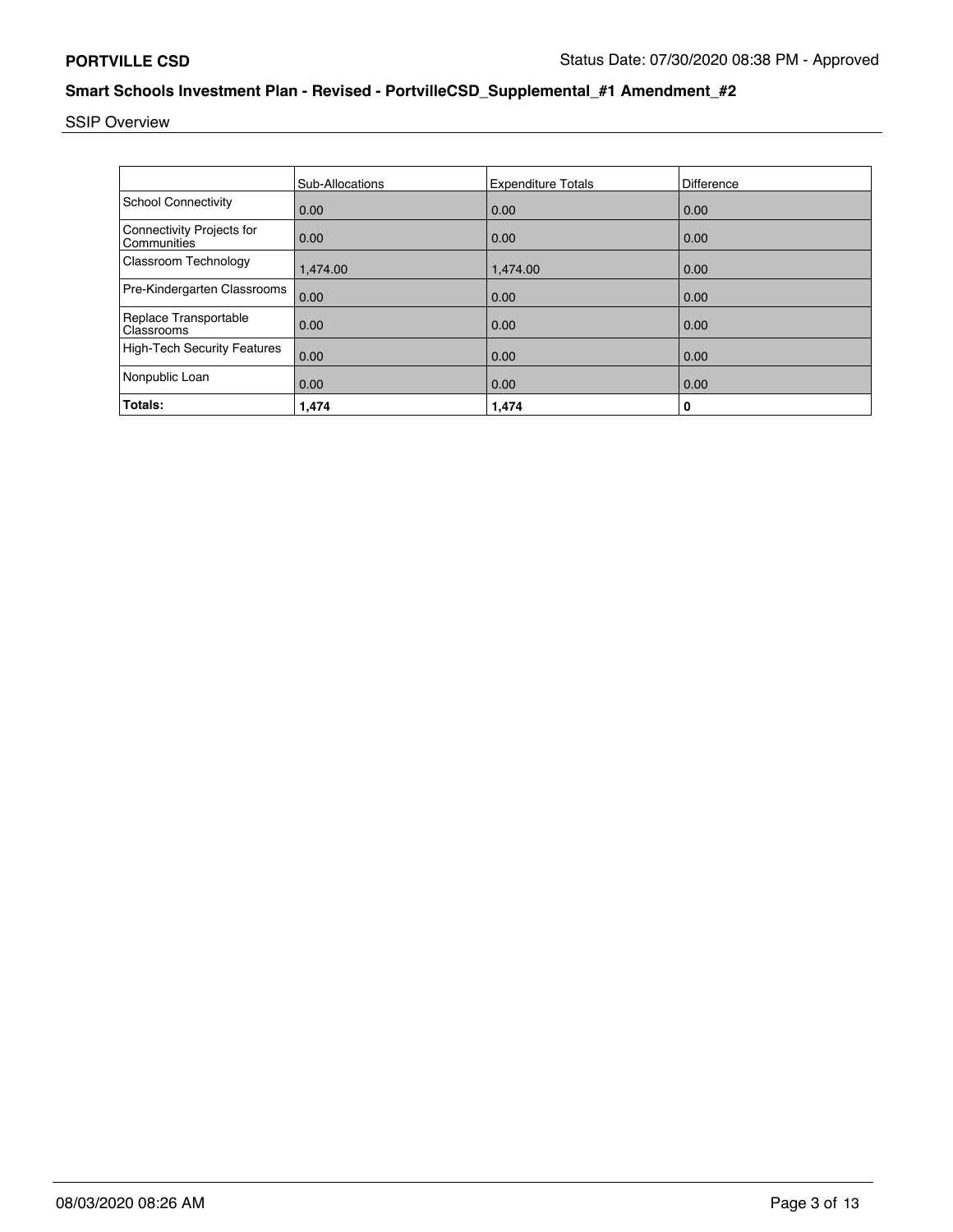SSIP Overview

|                                          | <b>Sub-Allocations</b> | <b>Expenditure Totals</b> | <b>Difference</b> |
|------------------------------------------|------------------------|---------------------------|-------------------|
| <b>School Connectivity</b>               | 0.00                   | 0.00                      | 0.00              |
| Connectivity Projects for<br>Communities | 0.00                   | 0.00                      | 0.00              |
| Classroom Technology                     | 1,474.00               | 1,474.00                  | 0.00              |
| Pre-Kindergarten Classrooms              | 0.00                   | 0.00                      | 0.00              |
| Replace Transportable<br>Classrooms      | 0.00                   | 0.00                      | 0.00              |
| <b>High-Tech Security Features</b>       | 0.00                   | 0.00                      | 0.00              |
| Nonpublic Loan                           | 0.00                   | 0.00                      | 0.00              |
| Totals:                                  | 1,474                  | 1,474                     | 0                 |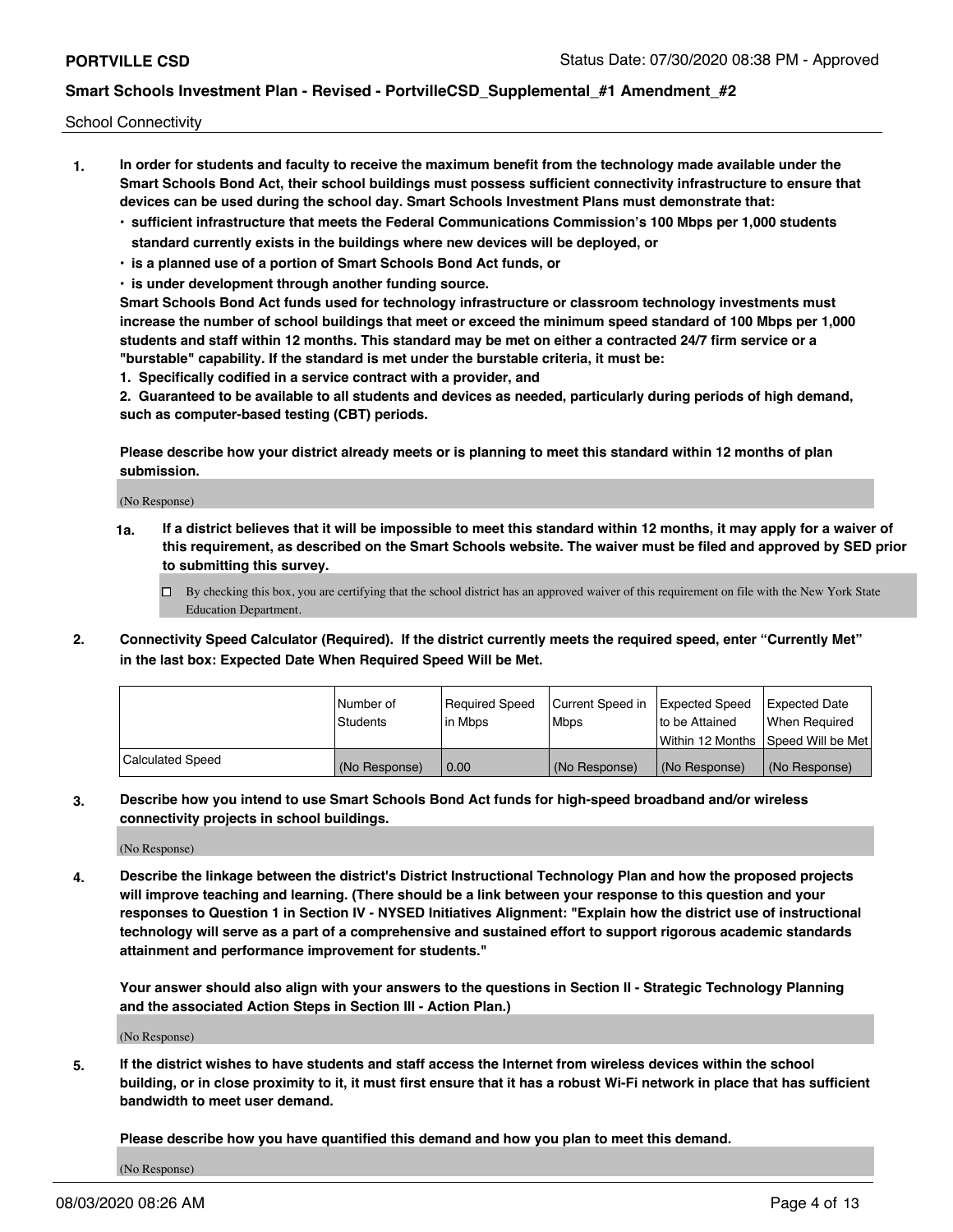School Connectivity

- **1. In order for students and faculty to receive the maximum benefit from the technology made available under the Smart Schools Bond Act, their school buildings must possess sufficient connectivity infrastructure to ensure that devices can be used during the school day. Smart Schools Investment Plans must demonstrate that:**
	- **• sufficient infrastructure that meets the Federal Communications Commission's 100 Mbps per 1,000 students standard currently exists in the buildings where new devices will be deployed, or**
	- **• is a planned use of a portion of Smart Schools Bond Act funds, or**
	- **• is under development through another funding source.**

**Smart Schools Bond Act funds used for technology infrastructure or classroom technology investments must increase the number of school buildings that meet or exceed the minimum speed standard of 100 Mbps per 1,000 students and staff within 12 months. This standard may be met on either a contracted 24/7 firm service or a "burstable" capability. If the standard is met under the burstable criteria, it must be:**

**1. Specifically codified in a service contract with a provider, and**

**2. Guaranteed to be available to all students and devices as needed, particularly during periods of high demand, such as computer-based testing (CBT) periods.**

**Please describe how your district already meets or is planning to meet this standard within 12 months of plan submission.**

(No Response)

**1a. If a district believes that it will be impossible to meet this standard within 12 months, it may apply for a waiver of this requirement, as described on the Smart Schools website. The waiver must be filed and approved by SED prior to submitting this survey.**

 $\Box$  By checking this box, you are certifying that the school district has an approved waiver of this requirement on file with the New York State Education Department.

**2. Connectivity Speed Calculator (Required). If the district currently meets the required speed, enter "Currently Met" in the last box: Expected Date When Required Speed Will be Met.**

|                  | l Number of   | Required Speed | Current Speed in | Expected Speed  | Expected Date                           |
|------------------|---------------|----------------|------------------|-----------------|-----------------------------------------|
|                  | Students      | lin Mbps       | Mbps             | Ito be Attained | When Required                           |
|                  |               |                |                  |                 | l Within 12 Months ISpeed Will be Met l |
| Calculated Speed | (No Response) | 0.00           | (No Response)    | l (No Response) | l (No Response)                         |

**3. Describe how you intend to use Smart Schools Bond Act funds for high-speed broadband and/or wireless connectivity projects in school buildings.**

(No Response)

**4. Describe the linkage between the district's District Instructional Technology Plan and how the proposed projects will improve teaching and learning. (There should be a link between your response to this question and your responses to Question 1 in Section IV - NYSED Initiatives Alignment: "Explain how the district use of instructional technology will serve as a part of a comprehensive and sustained effort to support rigorous academic standards attainment and performance improvement for students."** 

**Your answer should also align with your answers to the questions in Section II - Strategic Technology Planning and the associated Action Steps in Section III - Action Plan.)**

(No Response)

**5. If the district wishes to have students and staff access the Internet from wireless devices within the school building, or in close proximity to it, it must first ensure that it has a robust Wi-Fi network in place that has sufficient bandwidth to meet user demand.**

**Please describe how you have quantified this demand and how you plan to meet this demand.**

(No Response)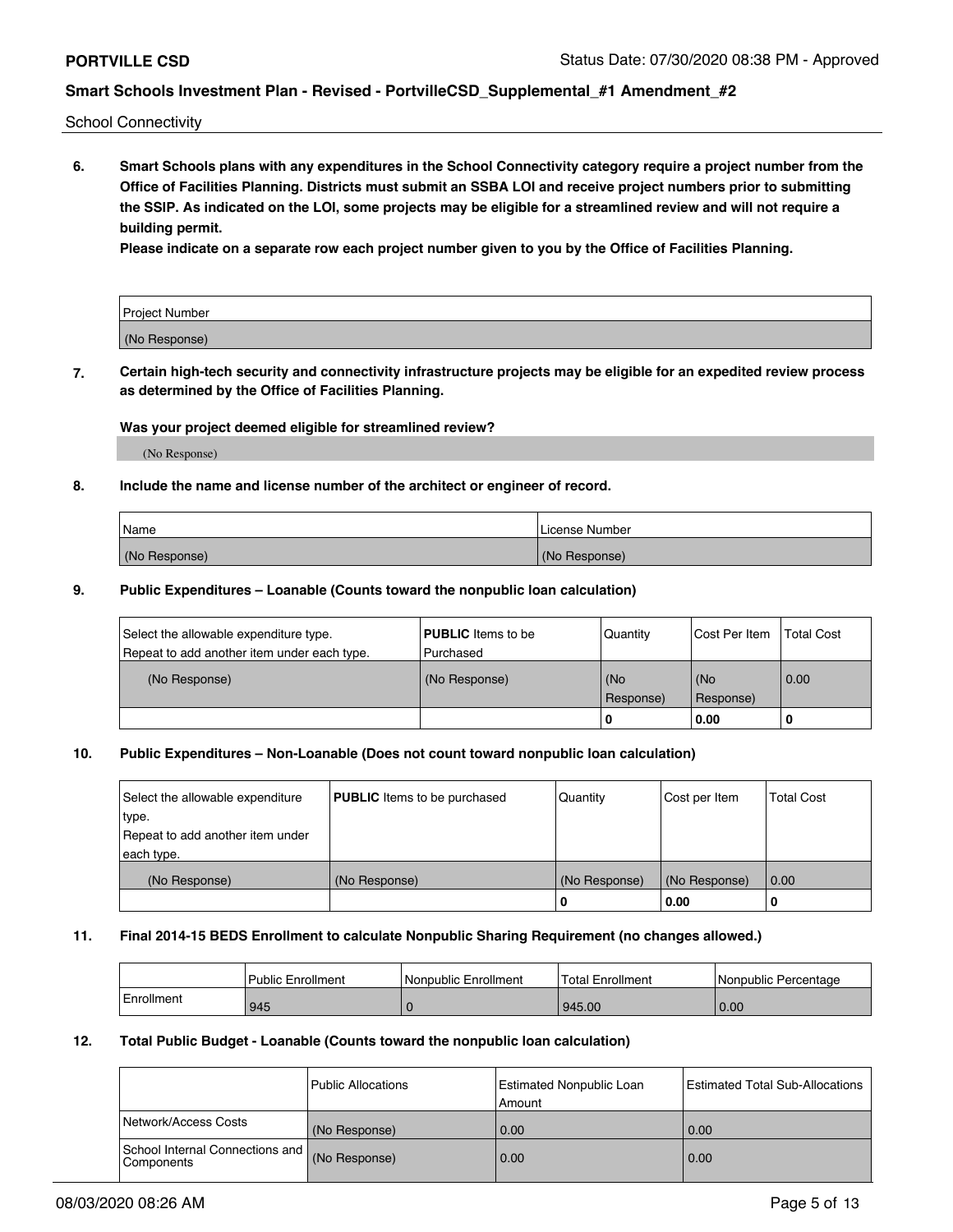School Connectivity

**6. Smart Schools plans with any expenditures in the School Connectivity category require a project number from the Office of Facilities Planning. Districts must submit an SSBA LOI and receive project numbers prior to submitting the SSIP. As indicated on the LOI, some projects may be eligible for a streamlined review and will not require a building permit.**

**Please indicate on a separate row each project number given to you by the Office of Facilities Planning.**

| Project Number |  |
|----------------|--|
| (No Response)  |  |

**7. Certain high-tech security and connectivity infrastructure projects may be eligible for an expedited review process as determined by the Office of Facilities Planning.**

### **Was your project deemed eligible for streamlined review?**

(No Response)

### **8. Include the name and license number of the architect or engineer of record.**

| Name          | License Number |
|---------------|----------------|
| (No Response) | (No Response)  |

### **9. Public Expenditures – Loanable (Counts toward the nonpublic loan calculation)**

| Select the allowable expenditure type.<br>Repeat to add another item under each type. | <b>PUBLIC</b> Items to be<br>l Purchased | Quantity           | Cost Per Item    | <b>Total Cost</b> |
|---------------------------------------------------------------------------------------|------------------------------------------|--------------------|------------------|-------------------|
| (No Response)                                                                         | (No Response)                            | l (No<br>Response) | (No<br>Response) | 0.00              |
|                                                                                       |                                          | -0                 | 0.00             |                   |

### **10. Public Expenditures – Non-Loanable (Does not count toward nonpublic loan calculation)**

| Select the allowable expenditure<br>type.<br>Repeat to add another item under<br>each type. | <b>PUBLIC</b> Items to be purchased | Quantity      | Cost per Item | <b>Total Cost</b> |
|---------------------------------------------------------------------------------------------|-------------------------------------|---------------|---------------|-------------------|
| (No Response)                                                                               | (No Response)                       | (No Response) | (No Response) | 0.00              |
|                                                                                             |                                     | υ             | 0.00          |                   |

### **11. Final 2014-15 BEDS Enrollment to calculate Nonpublic Sharing Requirement (no changes allowed.)**

|            | Public Enrollment | Nonpublic Enrollment | Total Enrollment | l Nonpublic Percentage |
|------------|-------------------|----------------------|------------------|------------------------|
| Enrollment | 945               |                      | 945.00           | 0.00                   |

### **12. Total Public Budget - Loanable (Counts toward the nonpublic loan calculation)**

|                                                      | l Public Allocations | <b>Estimated Nonpublic Loan</b><br>Amount | Estimated Total Sub-Allocations |
|------------------------------------------------------|----------------------|-------------------------------------------|---------------------------------|
| Network/Access Costs                                 | (No Response)        | 0.00                                      | 0.00                            |
| School Internal Connections and<br><b>Components</b> | (No Response)        | 0.00                                      | 0.00                            |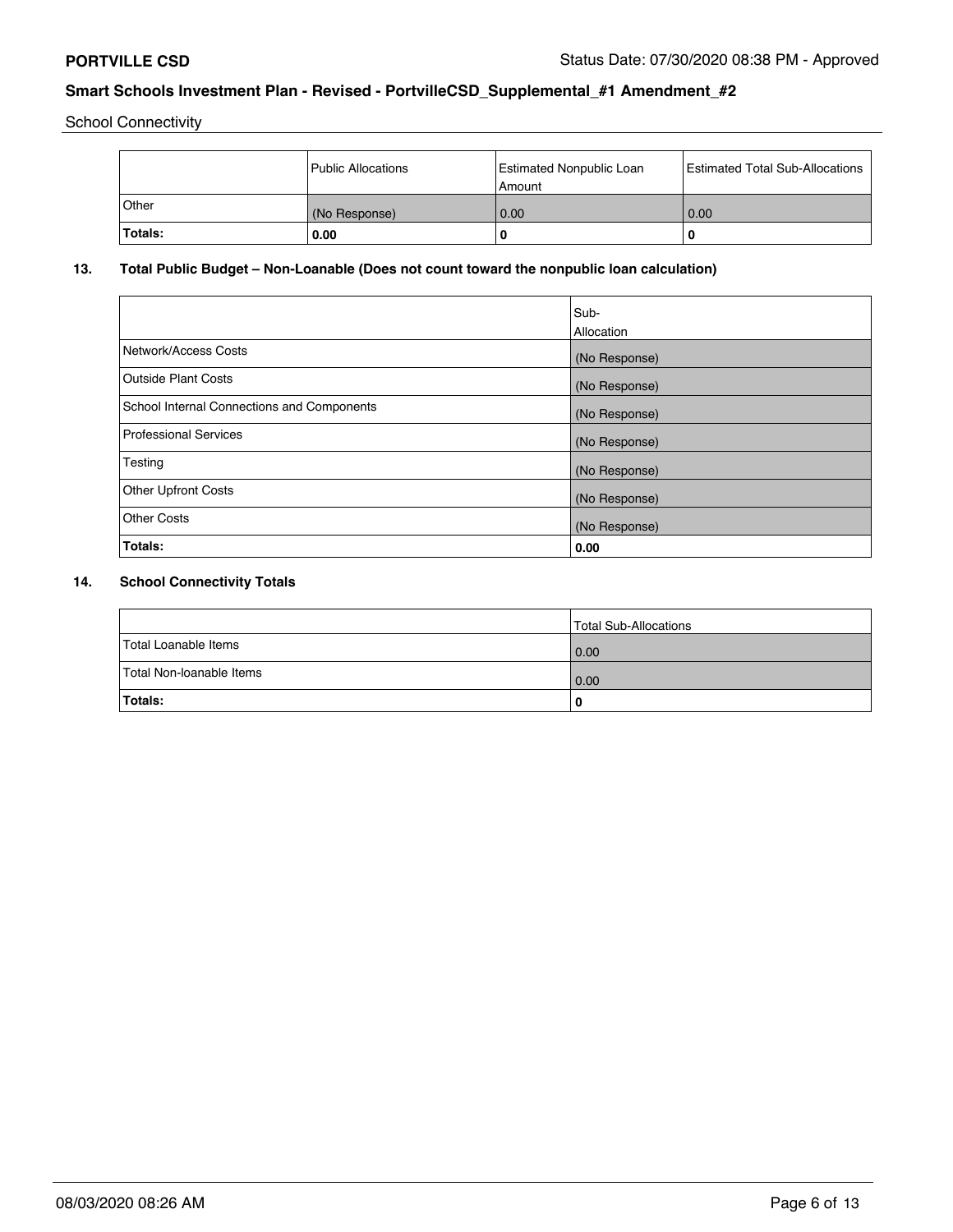School Connectivity

|                | l Public Allocations | <b>Estimated Nonpublic Loan</b><br>Amount | <b>Estimated Total Sub-Allocations</b> |
|----------------|----------------------|-------------------------------------------|----------------------------------------|
| <b>Other</b>   | (No Response)        | 0.00                                      | 0.00                                   |
| <b>Totals:</b> | 0.00                 | 0                                         | ш                                      |

## **13. Total Public Budget – Non-Loanable (Does not count toward the nonpublic loan calculation)**

| Sub-<br>Allocation |
|--------------------|
| (No Response)      |
| (No Response)      |
| (No Response)      |
| (No Response)      |
| (No Response)      |
| (No Response)      |
| (No Response)      |
| 0.00               |
|                    |

## **14. School Connectivity Totals**

|                          | Total Sub-Allocations |
|--------------------------|-----------------------|
| Total Loanable Items     | 0.00                  |
| Total Non-loanable Items | 0.00                  |
| Totals:                  | 0                     |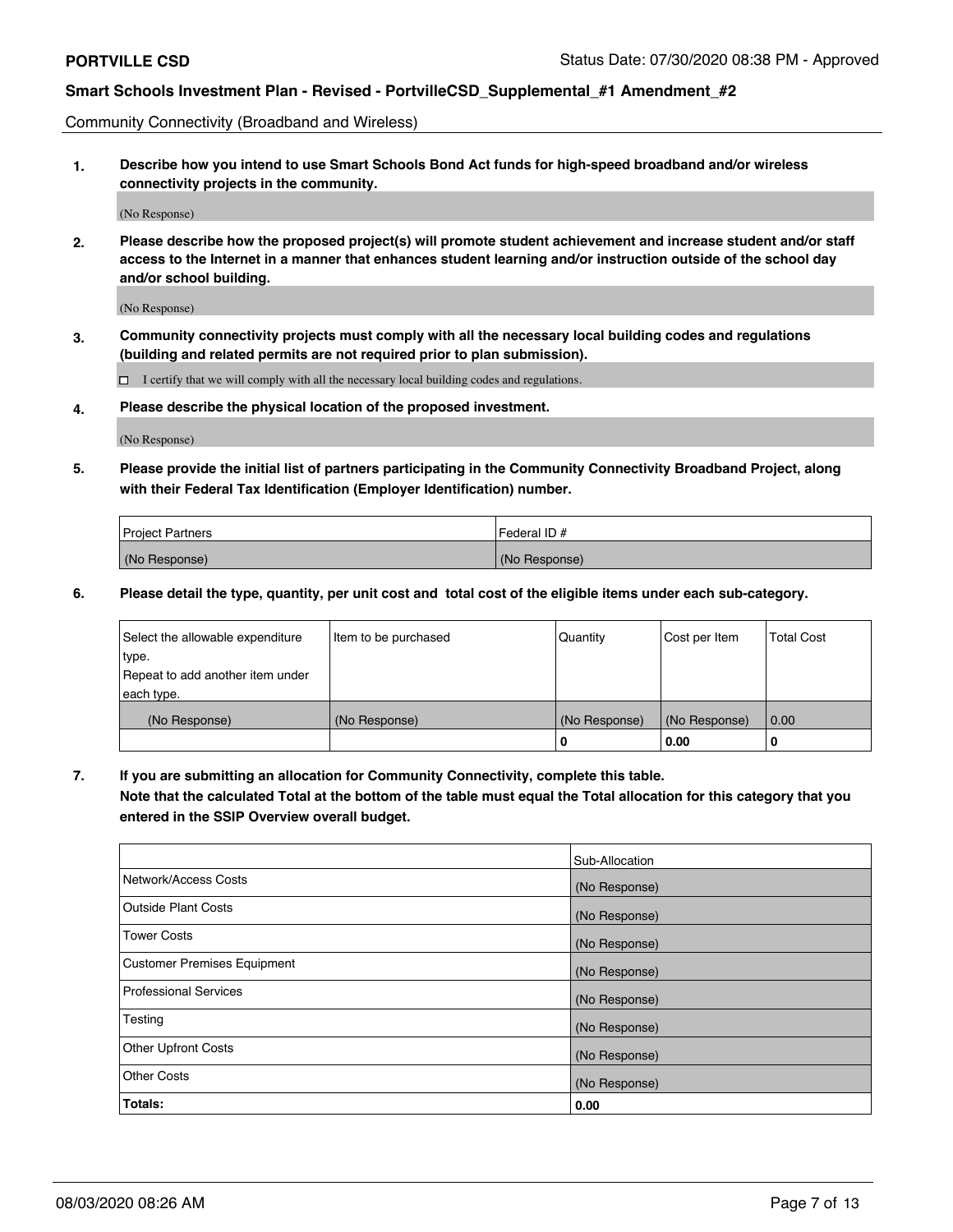Community Connectivity (Broadband and Wireless)

**1. Describe how you intend to use Smart Schools Bond Act funds for high-speed broadband and/or wireless connectivity projects in the community.**

(No Response)

**2. Please describe how the proposed project(s) will promote student achievement and increase student and/or staff access to the Internet in a manner that enhances student learning and/or instruction outside of the school day and/or school building.**

(No Response)

**3. Community connectivity projects must comply with all the necessary local building codes and regulations (building and related permits are not required prior to plan submission).**

 $\Box$  I certify that we will comply with all the necessary local building codes and regulations.

**4. Please describe the physical location of the proposed investment.**

(No Response)

**5. Please provide the initial list of partners participating in the Community Connectivity Broadband Project, along with their Federal Tax Identification (Employer Identification) number.**

| <b>Project Partners</b> | l Federal ID # |
|-------------------------|----------------|
| (No Response)           | (No Response)  |

**6. Please detail the type, quantity, per unit cost and total cost of the eligible items under each sub-category.**

| Select the allowable expenditure | Item to be purchased | Quantity      | Cost per Item | <b>Total Cost</b> |
|----------------------------------|----------------------|---------------|---------------|-------------------|
| type.                            |                      |               |               |                   |
| Repeat to add another item under |                      |               |               |                   |
| each type.                       |                      |               |               |                   |
| (No Response)                    | (No Response)        | (No Response) | (No Response) | 0.00              |
|                                  |                      | o             | 0.00          | 0                 |

**7. If you are submitting an allocation for Community Connectivity, complete this table.**

**Note that the calculated Total at the bottom of the table must equal the Total allocation for this category that you entered in the SSIP Overview overall budget.**

|                                    | Sub-Allocation |
|------------------------------------|----------------|
| Network/Access Costs               | (No Response)  |
| <b>Outside Plant Costs</b>         | (No Response)  |
| <b>Tower Costs</b>                 | (No Response)  |
| <b>Customer Premises Equipment</b> | (No Response)  |
| <b>Professional Services</b>       | (No Response)  |
| Testing                            | (No Response)  |
| <b>Other Upfront Costs</b>         | (No Response)  |
| <b>Other Costs</b>                 | (No Response)  |
| Totals:                            | 0.00           |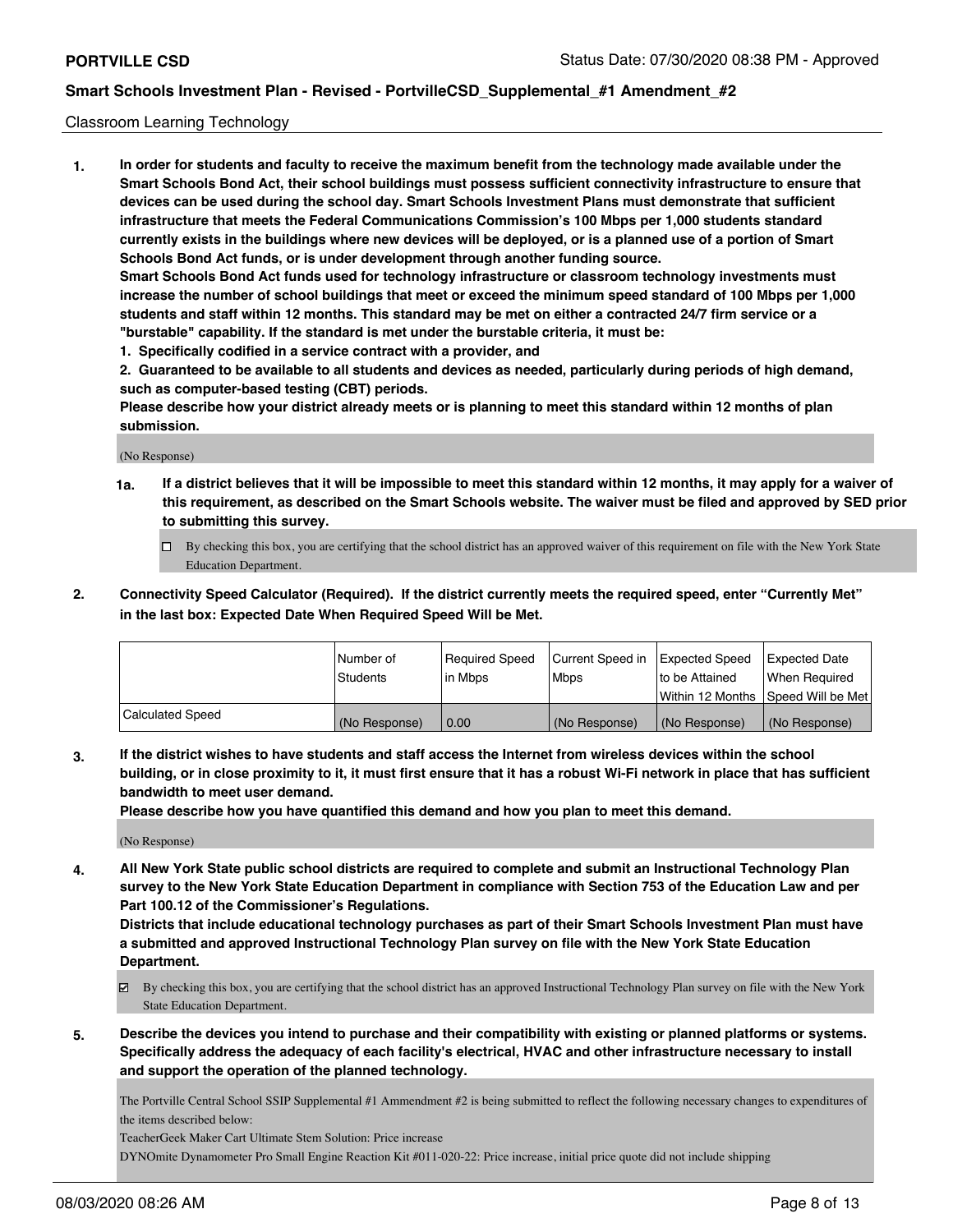### Classroom Learning Technology

**1. In order for students and faculty to receive the maximum benefit from the technology made available under the Smart Schools Bond Act, their school buildings must possess sufficient connectivity infrastructure to ensure that devices can be used during the school day. Smart Schools Investment Plans must demonstrate that sufficient infrastructure that meets the Federal Communications Commission's 100 Mbps per 1,000 students standard currently exists in the buildings where new devices will be deployed, or is a planned use of a portion of Smart Schools Bond Act funds, or is under development through another funding source. Smart Schools Bond Act funds used for technology infrastructure or classroom technology investments must increase the number of school buildings that meet or exceed the minimum speed standard of 100 Mbps per 1,000 students and staff within 12 months. This standard may be met on either a contracted 24/7 firm service or a "burstable" capability. If the standard is met under the burstable criteria, it must be:**

**1. Specifically codified in a service contract with a provider, and**

**2. Guaranteed to be available to all students and devices as needed, particularly during periods of high demand, such as computer-based testing (CBT) periods.**

**Please describe how your district already meets or is planning to meet this standard within 12 months of plan submission.**

(No Response)

- **1a. If a district believes that it will be impossible to meet this standard within 12 months, it may apply for a waiver of this requirement, as described on the Smart Schools website. The waiver must be filed and approved by SED prior to submitting this survey.**
	- By checking this box, you are certifying that the school district has an approved waiver of this requirement on file with the New York State Education Department.
- **2. Connectivity Speed Calculator (Required). If the district currently meets the required speed, enter "Currently Met" in the last box: Expected Date When Required Speed Will be Met.**

|                         | l Number of   | Required Speed | Current Speed in | <b>Expected Speed</b> | <b>Expected Date</b>                |
|-------------------------|---------------|----------------|------------------|-----------------------|-------------------------------------|
|                         | Students      | l in Mbps      | l Mbps           | to be Attained        | When Required                       |
|                         |               |                |                  |                       | Within 12 Months  Speed Will be Met |
| <b>Calculated Speed</b> | (No Response) | 0.00           | (No Response)    | (No Response)         | (No Response)                       |

**3. If the district wishes to have students and staff access the Internet from wireless devices within the school building, or in close proximity to it, it must first ensure that it has a robust Wi-Fi network in place that has sufficient bandwidth to meet user demand.**

**Please describe how you have quantified this demand and how you plan to meet this demand.**

(No Response)

**4. All New York State public school districts are required to complete and submit an Instructional Technology Plan survey to the New York State Education Department in compliance with Section 753 of the Education Law and per Part 100.12 of the Commissioner's Regulations.**

**Districts that include educational technology purchases as part of their Smart Schools Investment Plan must have a submitted and approved Instructional Technology Plan survey on file with the New York State Education Department.**

- By checking this box, you are certifying that the school district has an approved Instructional Technology Plan survey on file with the New York State Education Department.
- **5. Describe the devices you intend to purchase and their compatibility with existing or planned platforms or systems. Specifically address the adequacy of each facility's electrical, HVAC and other infrastructure necessary to install and support the operation of the planned technology.**

The Portville Central School SSIP Supplemental #1 Ammendment #2 is being submitted to reflect the following necessary changes to expenditures of the items described below:

TeacherGeek Maker Cart Ultimate Stem Solution: Price increase

DYNOmite Dynamometer Pro Small Engine Reaction Kit #011-020-22: Price increase, initial price quote did not include shipping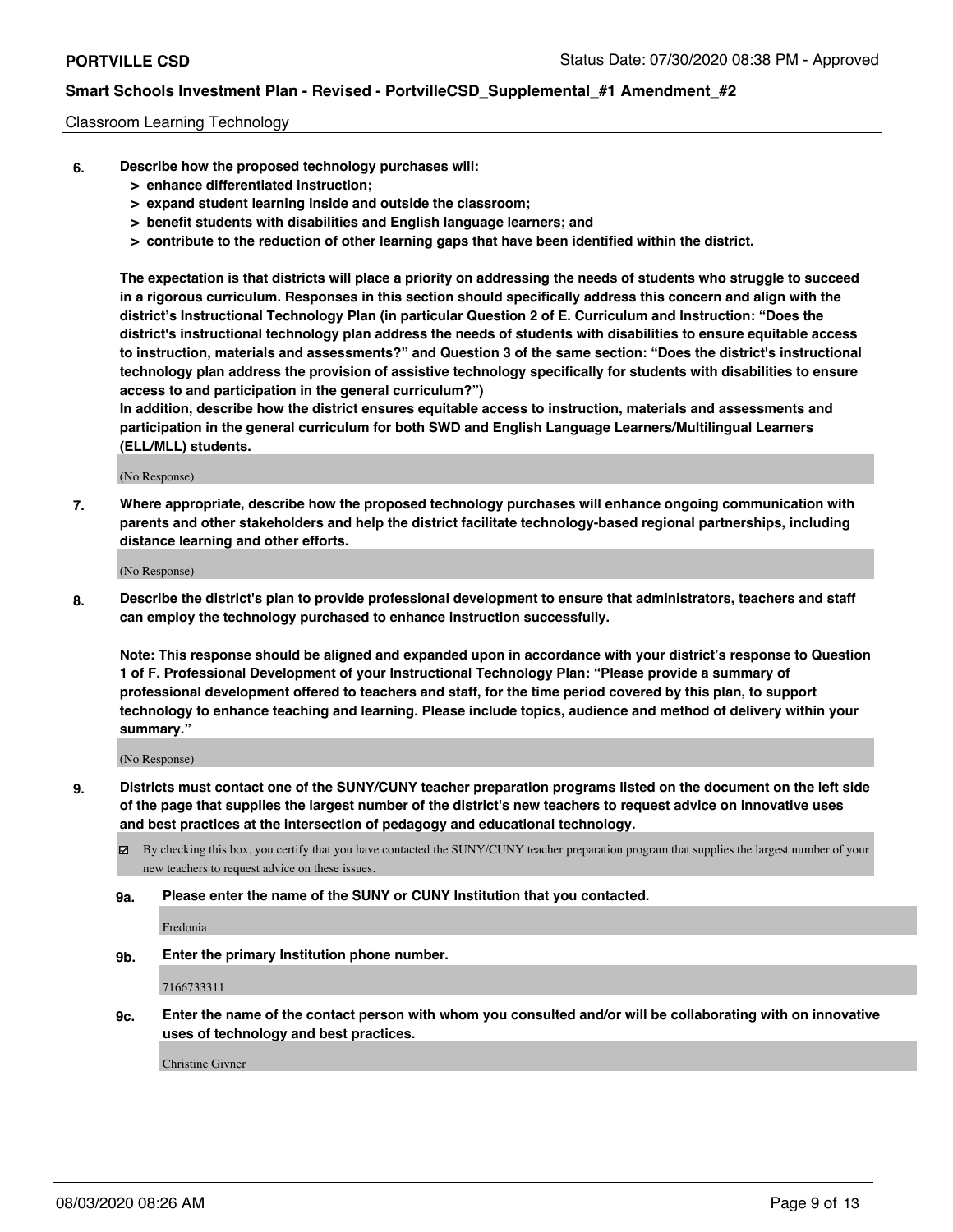### Classroom Learning Technology

- **6. Describe how the proposed technology purchases will:**
	- **> enhance differentiated instruction;**
	- **> expand student learning inside and outside the classroom;**
	- **> benefit students with disabilities and English language learners; and**
	- **> contribute to the reduction of other learning gaps that have been identified within the district.**

**The expectation is that districts will place a priority on addressing the needs of students who struggle to succeed in a rigorous curriculum. Responses in this section should specifically address this concern and align with the district's Instructional Technology Plan (in particular Question 2 of E. Curriculum and Instruction: "Does the district's instructional technology plan address the needs of students with disabilities to ensure equitable access to instruction, materials and assessments?" and Question 3 of the same section: "Does the district's instructional technology plan address the provision of assistive technology specifically for students with disabilities to ensure access to and participation in the general curriculum?")**

**In addition, describe how the district ensures equitable access to instruction, materials and assessments and participation in the general curriculum for both SWD and English Language Learners/Multilingual Learners (ELL/MLL) students.**

(No Response)

**7. Where appropriate, describe how the proposed technology purchases will enhance ongoing communication with parents and other stakeholders and help the district facilitate technology-based regional partnerships, including distance learning and other efforts.**

(No Response)

**8. Describe the district's plan to provide professional development to ensure that administrators, teachers and staff can employ the technology purchased to enhance instruction successfully.**

**Note: This response should be aligned and expanded upon in accordance with your district's response to Question 1 of F. Professional Development of your Instructional Technology Plan: "Please provide a summary of professional development offered to teachers and staff, for the time period covered by this plan, to support technology to enhance teaching and learning. Please include topics, audience and method of delivery within your summary."**

(No Response)

- **9. Districts must contact one of the SUNY/CUNY teacher preparation programs listed on the document on the left side of the page that supplies the largest number of the district's new teachers to request advice on innovative uses and best practices at the intersection of pedagogy and educational technology.**
	- $\boxtimes$  By checking this box, you certify that you have contacted the SUNY/CUNY teacher preparation program that supplies the largest number of your new teachers to request advice on these issues.
	- **9a. Please enter the name of the SUNY or CUNY Institution that you contacted.**

Fredonia

**9b. Enter the primary Institution phone number.**

7166733311

**9c. Enter the name of the contact person with whom you consulted and/or will be collaborating with on innovative uses of technology and best practices.**

Christine Givner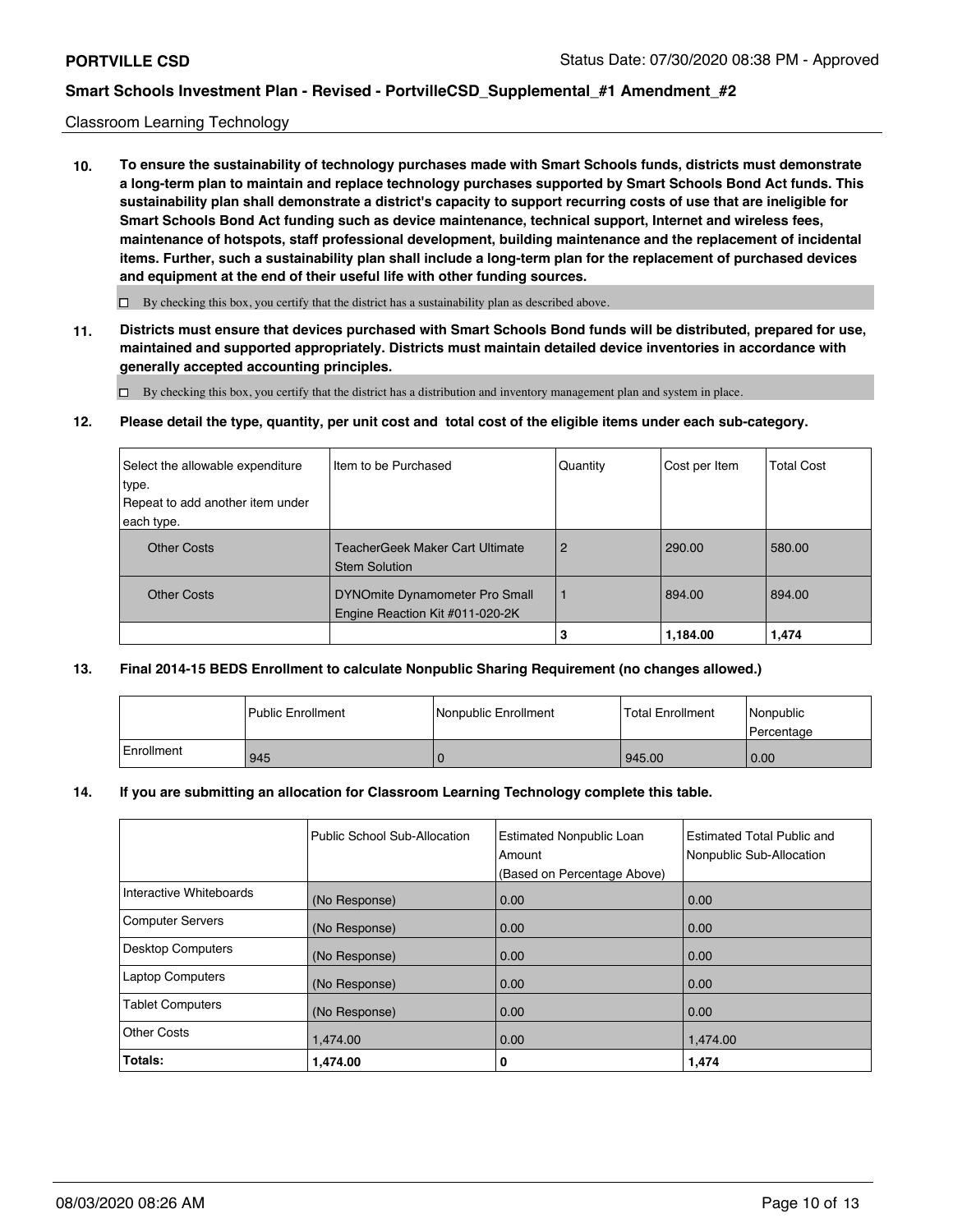### Classroom Learning Technology

**10. To ensure the sustainability of technology purchases made with Smart Schools funds, districts must demonstrate a long-term plan to maintain and replace technology purchases supported by Smart Schools Bond Act funds. This sustainability plan shall demonstrate a district's capacity to support recurring costs of use that are ineligible for Smart Schools Bond Act funding such as device maintenance, technical support, Internet and wireless fees, maintenance of hotspots, staff professional development, building maintenance and the replacement of incidental items. Further, such a sustainability plan shall include a long-term plan for the replacement of purchased devices and equipment at the end of their useful life with other funding sources.**

 $\square$  By checking this box, you certify that the district has a sustainability plan as described above.

**11. Districts must ensure that devices purchased with Smart Schools Bond funds will be distributed, prepared for use, maintained and supported appropriately. Districts must maintain detailed device inventories in accordance with generally accepted accounting principles.**

By checking this box, you certify that the district has a distribution and inventory management plan and system in place.

**12. Please detail the type, quantity, per unit cost and total cost of the eligible items under each sub-category.**

| Select the allowable expenditure | Iltem to be Purchased                                             | Quantity       | Cost per Item | <b>Total Cost</b> |
|----------------------------------|-------------------------------------------------------------------|----------------|---------------|-------------------|
| type.                            |                                                                   |                |               |                   |
| Repeat to add another item under |                                                                   |                |               |                   |
| each type.                       |                                                                   |                |               |                   |
| <b>Other Costs</b>               | TeacherGeek Maker Cart Ultimate<br><b>Stem Solution</b>           | $\overline{2}$ | 290.00        | 580.00            |
| <b>Other Costs</b>               | DYNOmite Dynamometer Pro Small<br>Engine Reaction Kit #011-020-2K |                | 894.00        | 894.00            |
|                                  |                                                                   | 3              | 1,184.00      | 1,474             |

### **13. Final 2014-15 BEDS Enrollment to calculate Nonpublic Sharing Requirement (no changes allowed.)**

|            | Public Enrollment | Nonpublic Enrollment | Total Enrollment | l Nonpublic<br>l Percentage |
|------------|-------------------|----------------------|------------------|-----------------------------|
| Enrollment | 945               |                      | 945.00           | 0.00                        |

### **14. If you are submitting an allocation for Classroom Learning Technology complete this table.**

|                          | Public School Sub-Allocation | <b>Estimated Nonpublic Loan</b><br>Amount<br>(Based on Percentage Above) | Estimated Total Public and<br>Nonpublic Sub-Allocation |
|--------------------------|------------------------------|--------------------------------------------------------------------------|--------------------------------------------------------|
| Interactive Whiteboards  | (No Response)                | 0.00                                                                     | 0.00                                                   |
| <b>Computer Servers</b>  | (No Response)                | 0.00                                                                     | 0.00                                                   |
| <b>Desktop Computers</b> | (No Response)                | 0.00                                                                     | 0.00                                                   |
| <b>Laptop Computers</b>  | (No Response)                | 0.00                                                                     | 0.00                                                   |
| <b>Tablet Computers</b>  | (No Response)                | 0.00                                                                     | 0.00                                                   |
| <b>Other Costs</b>       | 1,474.00                     | 0.00                                                                     | 1,474.00                                               |
| Totals:                  | 1,474.00                     | 0                                                                        | 1,474                                                  |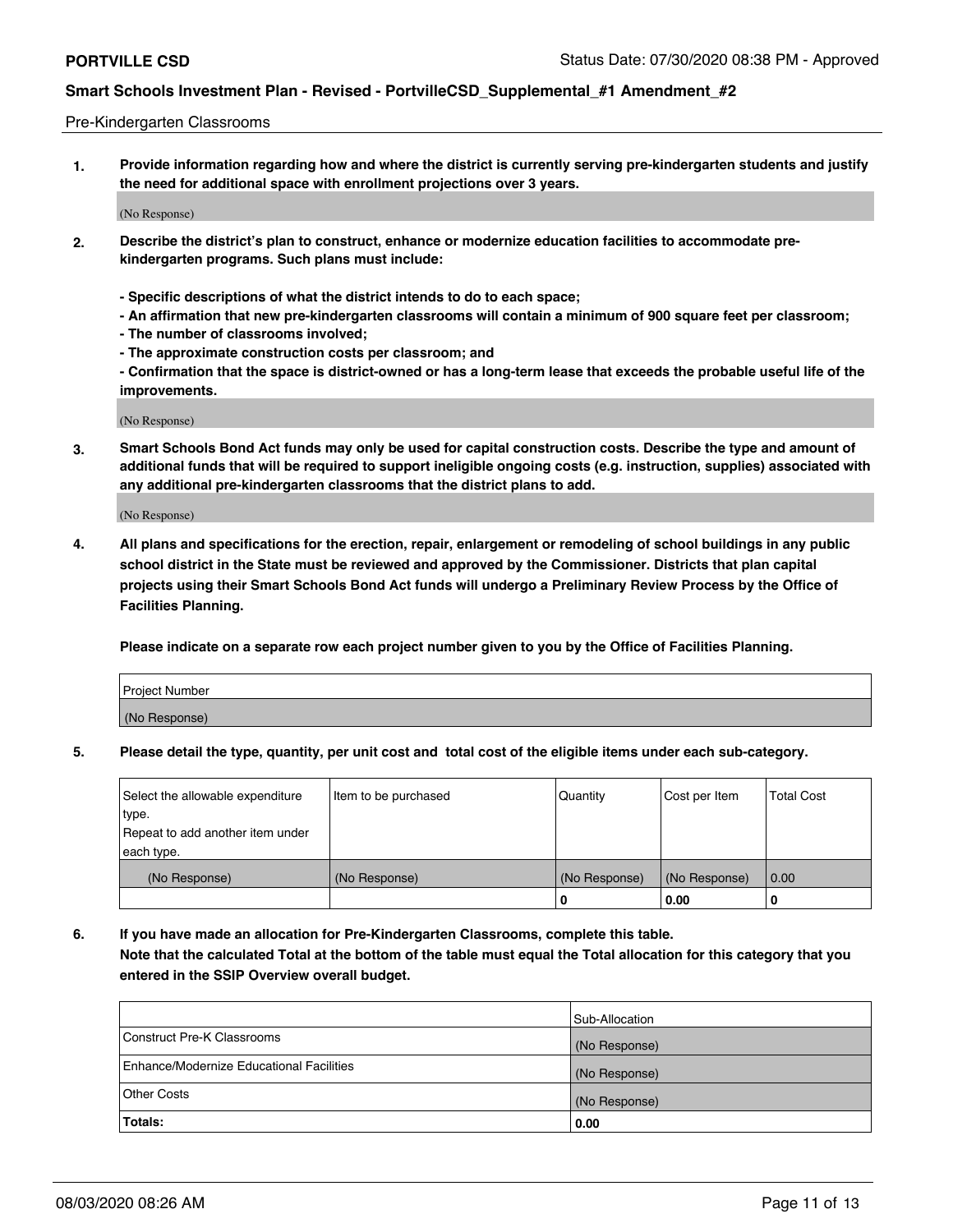### Pre-Kindergarten Classrooms

**1. Provide information regarding how and where the district is currently serving pre-kindergarten students and justify the need for additional space with enrollment projections over 3 years.**

(No Response)

- **2. Describe the district's plan to construct, enhance or modernize education facilities to accommodate prekindergarten programs. Such plans must include:**
	- **Specific descriptions of what the district intends to do to each space;**
	- **An affirmation that new pre-kindergarten classrooms will contain a minimum of 900 square feet per classroom;**
	- **The number of classrooms involved;**
	- **The approximate construction costs per classroom; and**
	- **Confirmation that the space is district-owned or has a long-term lease that exceeds the probable useful life of the improvements.**

(No Response)

**3. Smart Schools Bond Act funds may only be used for capital construction costs. Describe the type and amount of additional funds that will be required to support ineligible ongoing costs (e.g. instruction, supplies) associated with any additional pre-kindergarten classrooms that the district plans to add.**

(No Response)

**4. All plans and specifications for the erection, repair, enlargement or remodeling of school buildings in any public school district in the State must be reviewed and approved by the Commissioner. Districts that plan capital projects using their Smart Schools Bond Act funds will undergo a Preliminary Review Process by the Office of Facilities Planning.**

**Please indicate on a separate row each project number given to you by the Office of Facilities Planning.**

| Project Number |  |
|----------------|--|
| (No Response)  |  |
|                |  |

**5. Please detail the type, quantity, per unit cost and total cost of the eligible items under each sub-category.**

| Select the allowable expenditure | Item to be purchased | Quantity      | Cost per Item | <b>Total Cost</b> |
|----------------------------------|----------------------|---------------|---------------|-------------------|
| type.                            |                      |               |               |                   |
| Repeat to add another item under |                      |               |               |                   |
| each type.                       |                      |               |               |                   |
| (No Response)                    | (No Response)        | (No Response) | (No Response) | 0.00              |
|                                  |                      | υ             | 0.00          |                   |

**6. If you have made an allocation for Pre-Kindergarten Classrooms, complete this table. Note that the calculated Total at the bottom of the table must equal the Total allocation for this category that you entered in the SSIP Overview overall budget.**

| Totals:                                  | 0.00           |
|------------------------------------------|----------------|
| Other Costs                              | (No Response)  |
| Enhance/Modernize Educational Facilities | (No Response)  |
| Construct Pre-K Classrooms               | (No Response)  |
|                                          | Sub-Allocation |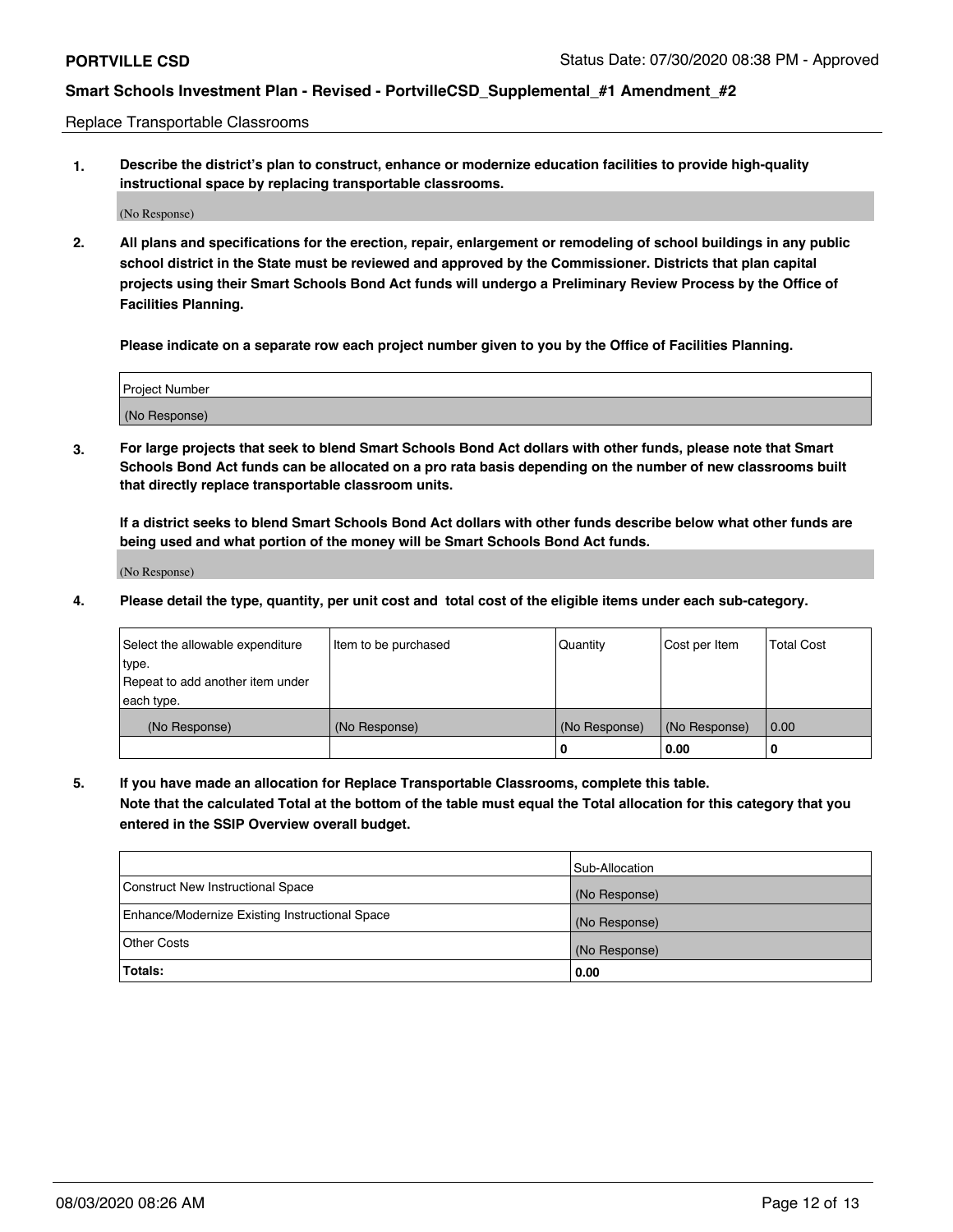Replace Transportable Classrooms

**1. Describe the district's plan to construct, enhance or modernize education facilities to provide high-quality instructional space by replacing transportable classrooms.**

(No Response)

**2. All plans and specifications for the erection, repair, enlargement or remodeling of school buildings in any public school district in the State must be reviewed and approved by the Commissioner. Districts that plan capital projects using their Smart Schools Bond Act funds will undergo a Preliminary Review Process by the Office of Facilities Planning.**

**Please indicate on a separate row each project number given to you by the Office of Facilities Planning.**

| Project Number |  |
|----------------|--|
|                |  |
|                |  |
| (No Response)  |  |
|                |  |

**3. For large projects that seek to blend Smart Schools Bond Act dollars with other funds, please note that Smart Schools Bond Act funds can be allocated on a pro rata basis depending on the number of new classrooms built that directly replace transportable classroom units.**

**If a district seeks to blend Smart Schools Bond Act dollars with other funds describe below what other funds are being used and what portion of the money will be Smart Schools Bond Act funds.**

(No Response)

**4. Please detail the type, quantity, per unit cost and total cost of the eligible items under each sub-category.**

| Select the allowable expenditure<br>∣type.<br>Repeat to add another item under | Item to be purchased | Quantity      | Cost per Item | <b>Total Cost</b> |
|--------------------------------------------------------------------------------|----------------------|---------------|---------------|-------------------|
| each type.<br>(No Response)                                                    | (No Response)        | (No Response) | (No Response) | 0.00              |
|                                                                                |                      | u             | 0.00          | 0                 |

**5. If you have made an allocation for Replace Transportable Classrooms, complete this table. Note that the calculated Total at the bottom of the table must equal the Total allocation for this category that you entered in the SSIP Overview overall budget.**

|                                                | Sub-Allocation |
|------------------------------------------------|----------------|
| Construct New Instructional Space              | (No Response)  |
| Enhance/Modernize Existing Instructional Space | (No Response)  |
| <b>Other Costs</b>                             | (No Response)  |
| Totals:                                        | 0.00           |